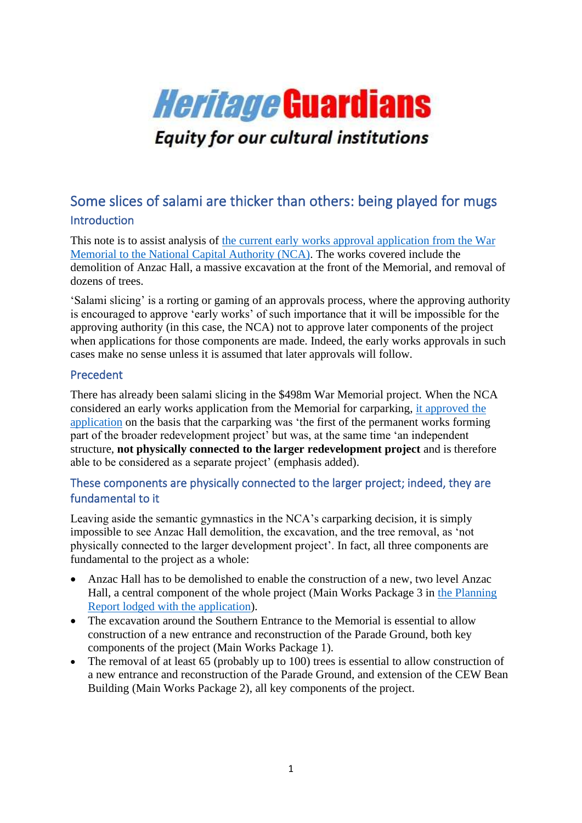

# Some slices of salami are thicker than others: being played for mugs Introduction

This note is to assist analysis of the current early [works approval application from the War](http://honesthistory.net.au/wp/national-capital-authority-consultation-on-early-works-associated-with-war-memorial-498m-project-dozens-of-trees-to-be-cut-down-premature-demolition-of-anzac-hall-massive-excavation-at-memoria/)  [Memorial to the National Capital Authority \(NCA\).](http://honesthistory.net.au/wp/national-capital-authority-consultation-on-early-works-associated-with-war-memorial-498m-project-dozens-of-trees-to-be-cut-down-premature-demolition-of-anzac-hall-massive-excavation-at-memoria/) The works covered include the demolition of Anzac Hall, a massive excavation at the front of the Memorial, and removal of dozens of trees.

'Salami slicing' is a rorting or gaming of an approvals process, where the approving authority is encouraged to approve 'early works' of such importance that it will be impossible for the approving authority (in this case, the NCA) not to approve later components of the project when applications for those components are made. Indeed, the early works approvals in such cases make no sense unless it is assumed that later approvals will follow.

### Precedent

There has already been salami slicing in the \$498m War Memorial project. When the NCA considered an early works application from the Memorial for carparking, [it approved the](http://honesthistory.net.au/wp/salami-slicing-in-canberra-as-war-memorial-has-two-heritage-referrals-running-at-once-here-are-the-details-if-you-want-to-have-a-say/)  [application](http://honesthistory.net.au/wp/salami-slicing-in-canberra-as-war-memorial-has-two-heritage-referrals-running-at-once-here-are-the-details-if-you-want-to-have-a-say/) on the basis that the carparking was 'the first of the permanent works forming part of the broader redevelopment project' but was, at the same time 'an independent structure, **not physically connected to the larger redevelopment project** and is therefore able to be considered as a separate project' (emphasis added).

## These components are physically connected to the larger project; indeed, they are fundamental to it

Leaving aside the semantic gymnastics in the NCA's carparking decision, it is simply impossible to see Anzac Hall demolition, the excavation, and the tree removal, as 'not physically connected to the larger development project'. In fact, all three components are fundamental to the project as a whole:

- Anzac Hall has to be demolished to enable the construction of a new, two level Anzac Hall, a central component of the whole project (Main Works Package 3 in [the Planning](http://honesthistory.net.au/wp/wp-content/uploads/Planning-Report_5-4.pdf)  [Report lodged with the application\)](http://honesthistory.net.au/wp/wp-content/uploads/Planning-Report_5-4.pdf).
- The excavation around the Southern Entrance to the Memorial is essential to allow construction of a new entrance and reconstruction of the Parade Ground, both key components of the project (Main Works Package 1).
- The removal of at least 65 (probably up to 100) trees is essential to allow construction of a new entrance and reconstruction of the Parade Ground, and extension of the CEW Bean Building (Main Works Package 2), all key components of the project.